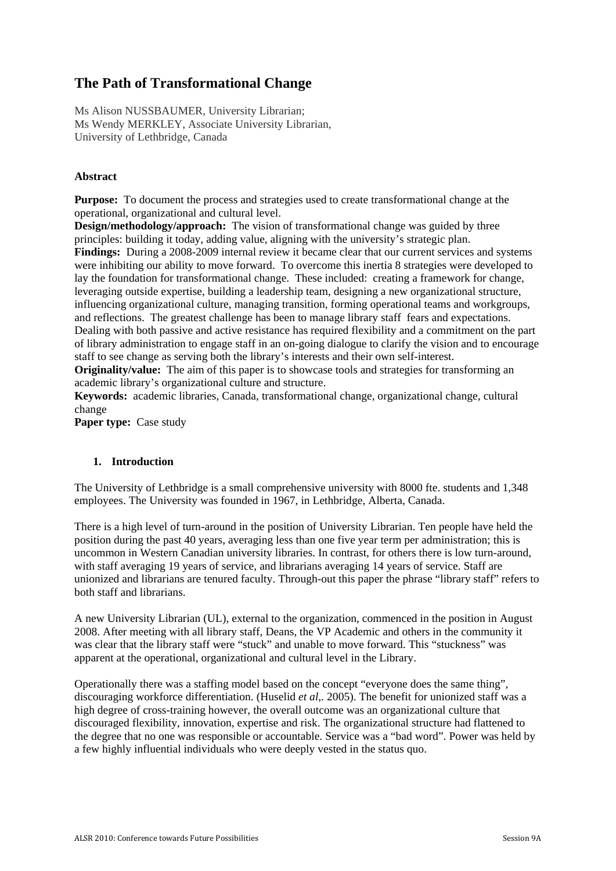# **The Path of Transformational Change**

Ms Alison NUSSBAUMER, University Librarian; Ms Wendy MERKLEY, Associate University Librarian, University of Lethbridge, Canada

# **Abstract**

**Purpose:** To document the process and strategies used to create transformational change at the operational, organizational and cultural level.

**Design/methodology/approach:** The vision of transformational change was guided by three principles: building it today, adding value, aligning with the university's strategic plan. **Findings:** During a 2008-2009 internal review it became clear that our current services and systems were inhibiting our ability to move forward. To overcome this inertia 8 strategies were developed to lay the foundation for transformational change. These included: creating a framework for change, leveraging outside expertise, building a leadership team, designing a new organizational structure, influencing organizational culture, managing transition, forming operational teams and workgroups, and reflections. The greatest challenge has been to manage library staff fears and expectations. Dealing with both passive and active resistance has required flexibility and a commitment on the part of library administration to engage staff in an on-going dialogue to clarify the vision and to encourage staff to see change as serving both the library's interests and their own self-interest.

**Originality/value:** The aim of this paper is to showcase tools and strategies for transforming an academic library's organizational culture and structure.

**Keywords:** academic libraries, Canada, transformational change, organizational change, cultural change

Paper type: Case study

#### **1. Introduction**

The University of Lethbridge is a small comprehensive university with 8000 fte. students and 1,348 employees. The University was founded in 1967, in Lethbridge, Alberta, Canada.

There is a high level of turn-around in the position of University Librarian. Ten people have held the position during the past 40 years, averaging less than one five year term per administration; this is uncommon in Western Canadian university libraries. In contrast, for others there is low turn-around, with staff averaging 19 years of service, and librarians averaging 14 years of service. Staff are unionized and librarians are tenured faculty. Through-out this paper the phrase "library staff" refers to both staff and librarians.

A new University Librarian (UL), external to the organization, commenced in the position in August 2008. After meeting with all library staff, Deans, the VP Academic and others in the community it was clear that the library staff were "stuck" and unable to move forward. This "stuckness" was apparent at the operational, organizational and cultural level in the Library.

Operationally there was a staffing model based on the concept "everyone does the same thing", discouraging workforce differentiation. (Huselid *et al*,*.* 2005). The benefit for unionized staff was a high degree of cross-training however, the overall outcome was an organizational culture that discouraged flexibility, innovation, expertise and risk. The organizational structure had flattened to the degree that no one was responsible or accountable. Service was a "bad word". Power was held by a few highly influential individuals who were deeply vested in the status quo.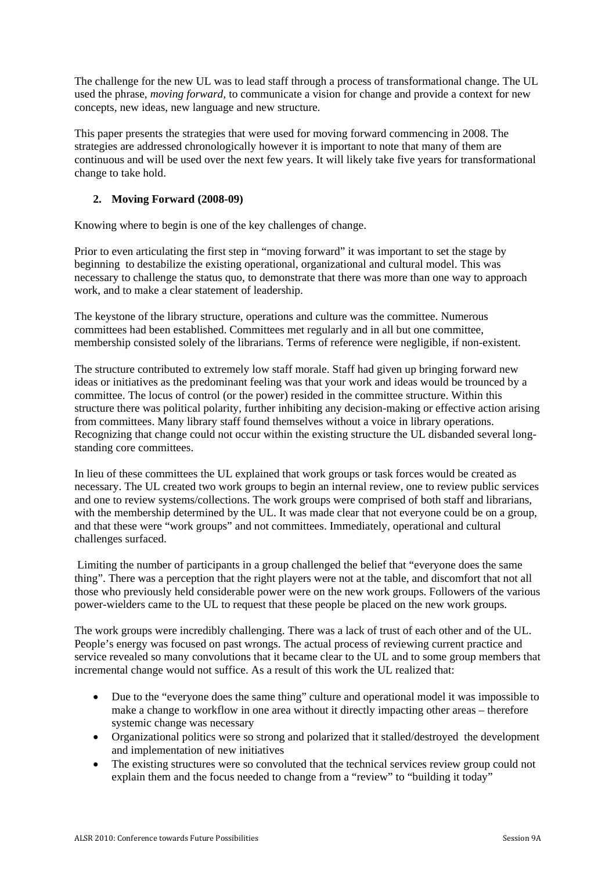The challenge for the new UL was to lead staff through a process of transformational change. The UL used the phrase, *moving forward,* to communicate a vision for change and provide a context for new concepts, new ideas, new language and new structure.

This paper presents the strategies that were used for moving forward commencing in 2008. The strategies are addressed chronologically however it is important to note that many of them are continuous and will be used over the next few years. It will likely take five years for transformational change to take hold.

# **2. Moving Forward (2008-09)**

Knowing where to begin is one of the key challenges of change.

Prior to even articulating the first step in "moving forward" it was important to set the stage by beginning to destabilize the existing operational, organizational and cultural model. This was necessary to challenge the status quo, to demonstrate that there was more than one way to approach work, and to make a clear statement of leadership.

The keystone of the library structure, operations and culture was the committee. Numerous committees had been established. Committees met regularly and in all but one committee, membership consisted solely of the librarians. Terms of reference were negligible, if non-existent.

The structure contributed to extremely low staff morale. Staff had given up bringing forward new ideas or initiatives as the predominant feeling was that your work and ideas would be trounced by a committee. The locus of control (or the power) resided in the committee structure. Within this structure there was political polarity, further inhibiting any decision-making or effective action arising from committees. Many library staff found themselves without a voice in library operations. Recognizing that change could not occur within the existing structure the UL disbanded several longstanding core committees.

In lieu of these committees the UL explained that work groups or task forces would be created as necessary. The UL created two work groups to begin an internal review, one to review public services and one to review systems/collections. The work groups were comprised of both staff and librarians, with the membership determined by the UL. It was made clear that not everyone could be on a group, and that these were "work groups" and not committees. Immediately, operational and cultural challenges surfaced.

 Limiting the number of participants in a group challenged the belief that "everyone does the same thing". There was a perception that the right players were not at the table, and discomfort that not all those who previously held considerable power were on the new work groups. Followers of the various power-wielders came to the UL to request that these people be placed on the new work groups.

The work groups were incredibly challenging. There was a lack of trust of each other and of the UL. People's energy was focused on past wrongs. The actual process of reviewing current practice and service revealed so many convolutions that it became clear to the UL and to some group members that incremental change would not suffice. As a result of this work the UL realized that:

- Due to the "everyone does the same thing" culture and operational model it was impossible to make a change to workflow in one area without it directly impacting other areas – therefore systemic change was necessary
- Organizational politics were so strong and polarized that it stalled/destroyed the development and implementation of new initiatives
- The existing structures were so convoluted that the technical services review group could not explain them and the focus needed to change from a "review" to "building it today"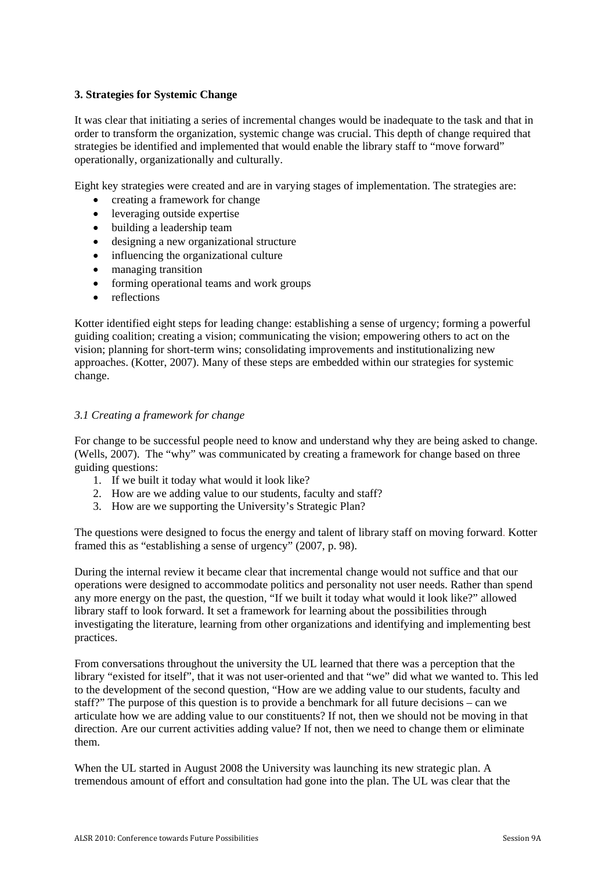# **3. Strategies for Systemic Change**

It was clear that initiating a series of incremental changes would be inadequate to the task and that in order to transform the organization, systemic change was crucial. This depth of change required that strategies be identified and implemented that would enable the library staff to "move forward" operationally, organizationally and culturally.

Eight key strategies were created and are in varying stages of implementation. The strategies are:

- creating a framework for change
- leveraging outside expertise
- building a leadership team
- designing a new organizational structure
- influencing the organizational culture
- managing transition
- forming operational teams and work groups
- reflections

Kotter identified eight steps for leading change: establishing a sense of urgency; forming a powerful guiding coalition; creating a vision; communicating the vision; empowering others to act on the vision; planning for short-term wins; consolidating improvements and institutionalizing new approaches. (Kotter, 2007). Many of these steps are embedded within our strategies for systemic change.

#### *3.1 Creating a framework for change*

For change to be successful people need to know and understand why they are being asked to change. (Wells, 2007). The "why" was communicated by creating a framework for change based on three guiding questions:

- 1. If we built it today what would it look like?
- 2. How are we adding value to our students, faculty and staff?
- 3. How are we supporting the University's Strategic Plan?

The questions were designed to focus the energy and talent of library staff on moving forward. Kotter framed this as "establishing a sense of urgency" (2007, p. 98).

During the internal review it became clear that incremental change would not suffice and that our operations were designed to accommodate politics and personality not user needs. Rather than spend any more energy on the past, the question, "If we built it today what would it look like?" allowed library staff to look forward. It set a framework for learning about the possibilities through investigating the literature, learning from other organizations and identifying and implementing best practices.

From conversations throughout the university the UL learned that there was a perception that the library "existed for itself", that it was not user-oriented and that "we" did what we wanted to. This led to the development of the second question, "How are we adding value to our students, faculty and staff?" The purpose of this question is to provide a benchmark for all future decisions – can we articulate how we are adding value to our constituents? If not, then we should not be moving in that direction. Are our current activities adding value? If not, then we need to change them or eliminate them.

When the UL started in August 2008 the University was launching its new strategic plan. A tremendous amount of effort and consultation had gone into the plan. The UL was clear that the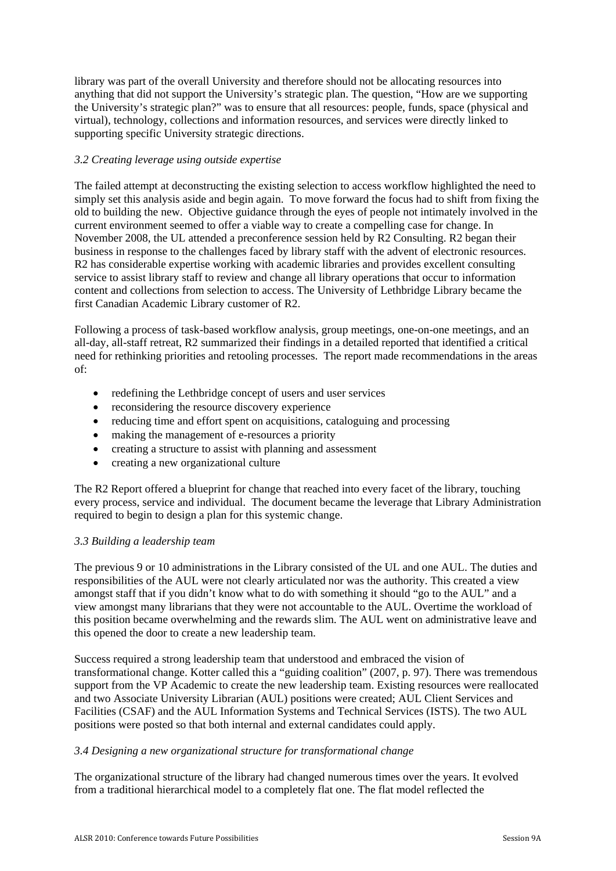library was part of the overall University and therefore should not be allocating resources into anything that did not support the University's strategic plan. The question, "How are we supporting the University's strategic plan?" was to ensure that all resources: people, funds, space (physical and virtual), technology, collections and information resources, and services were directly linked to supporting specific University strategic directions.

# *3.2 Creating leverage using outside expertise*

The failed attempt at deconstructing the existing selection to access workflow highlighted the need to simply set this analysis aside and begin again. To move forward the focus had to shift from fixing the old to building the new. Objective guidance through the eyes of people not intimately involved in the current environment seemed to offer a viable way to create a compelling case for change. In November 2008, the UL attended a preconference session held by R2 Consulting. R2 began their business in response to the challenges faced by library staff with the advent of electronic resources. R2 has considerable expertise working with academic libraries and provides excellent consulting service to assist library staff to review and change all library operations that occur to information content and collections from selection to access. The University of Lethbridge Library became the first Canadian Academic Library customer of R2.

Following a process of task-based workflow analysis, group meetings, one-on-one meetings, and an all-day, all-staff retreat, R2 summarized their findings in a detailed reported that identified a critical need for rethinking priorities and retooling processes. The report made recommendations in the areas of:

- redefining the Lethbridge concept of users and user services
- reconsidering the resource discovery experience
- reducing time and effort spent on acquisitions, cataloguing and processing
- making the management of e-resources a priority
- creating a structure to assist with planning and assessment
- creating a new organizational culture

The R2 Report offered a blueprint for change that reached into every facet of the library, touching every process, service and individual. The document became the leverage that Library Administration required to begin to design a plan for this systemic change.

#### *3.3 Building a leadership team*

The previous 9 or 10 administrations in the Library consisted of the UL and one AUL. The duties and responsibilities of the AUL were not clearly articulated nor was the authority. This created a view amongst staff that if you didn't know what to do with something it should "go to the AUL" and a view amongst many librarians that they were not accountable to the AUL. Overtime the workload of this position became overwhelming and the rewards slim. The AUL went on administrative leave and this opened the door to create a new leadership team.

Success required a strong leadership team that understood and embraced the vision of transformational change. Kotter called this a "guiding coalition" (2007, p. 97). There was tremendous support from the VP Academic to create the new leadership team. Existing resources were reallocated and two Associate University Librarian (AUL) positions were created; AUL Client Services and Facilities (CSAF) and the AUL Information Systems and Technical Services (ISTS). The two AUL positions were posted so that both internal and external candidates could apply.

#### *3.4 Designing a new organizational structure for transformational change*

The organizational structure of the library had changed numerous times over the years. It evolved from a traditional hierarchical model to a completely flat one. The flat model reflected the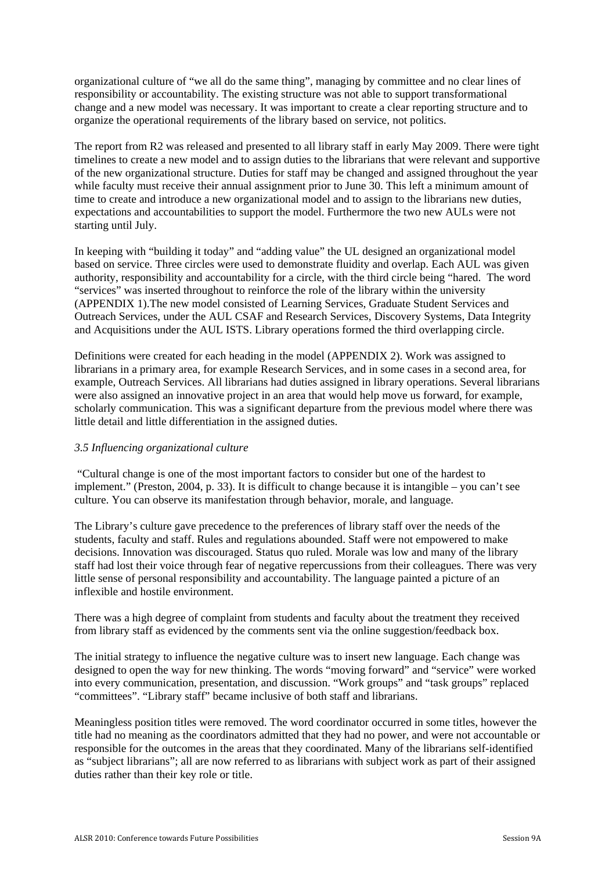organizational culture of "we all do the same thing", managing by committee and no clear lines of responsibility or accountability. The existing structure was not able to support transformational change and a new model was necessary. It was important to create a clear reporting structure and to organize the operational requirements of the library based on service, not politics.

The report from R2 was released and presented to all library staff in early May 2009. There were tight timelines to create a new model and to assign duties to the librarians that were relevant and supportive of the new organizational structure. Duties for staff may be changed and assigned throughout the year while faculty must receive their annual assignment prior to June 30. This left a minimum amount of time to create and introduce a new organizational model and to assign to the librarians new duties, expectations and accountabilities to support the model. Furthermore the two new AULs were not starting until July.

In keeping with "building it today" and "adding value" the UL designed an organizational model based on service. Three circles were used to demonstrate fluidity and overlap. Each AUL was given authority, responsibility and accountability for a circle, with the third circle being "hared. The word "services" was inserted throughout to reinforce the role of the library within the university (APPENDIX 1).The new model consisted of Learning Services, Graduate Student Services and Outreach Services, under the AUL CSAF and Research Services, Discovery Systems, Data Integrity and Acquisitions under the AUL ISTS. Library operations formed the third overlapping circle.

Definitions were created for each heading in the model (APPENDIX 2). Work was assigned to librarians in a primary area, for example Research Services, and in some cases in a second area, for example, Outreach Services. All librarians had duties assigned in library operations. Several librarians were also assigned an innovative project in an area that would help move us forward, for example, scholarly communication. This was a significant departure from the previous model where there was little detail and little differentiation in the assigned duties.

#### *3.5 Influencing organizational culture*

 "Cultural change is one of the most important factors to consider but one of the hardest to implement." (Preston, 2004, p. 33). It is difficult to change because it is intangible – you can't see culture. You can observe its manifestation through behavior, morale, and language.

The Library's culture gave precedence to the preferences of library staff over the needs of the students, faculty and staff. Rules and regulations abounded. Staff were not empowered to make decisions. Innovation was discouraged. Status quo ruled. Morale was low and many of the library staff had lost their voice through fear of negative repercussions from their colleagues. There was very little sense of personal responsibility and accountability. The language painted a picture of an inflexible and hostile environment.

There was a high degree of complaint from students and faculty about the treatment they received from library staff as evidenced by the comments sent via the online suggestion/feedback box.

The initial strategy to influence the negative culture was to insert new language. Each change was designed to open the way for new thinking. The words "moving forward" and "service" were worked into every communication, presentation, and discussion. "Work groups" and "task groups" replaced "committees". "Library staff" became inclusive of both staff and librarians.

Meaningless position titles were removed. The word coordinator occurred in some titles, however the title had no meaning as the coordinators admitted that they had no power, and were not accountable or responsible for the outcomes in the areas that they coordinated. Many of the librarians self-identified as "subject librarians"; all are now referred to as librarians with subject work as part of their assigned duties rather than their key role or title.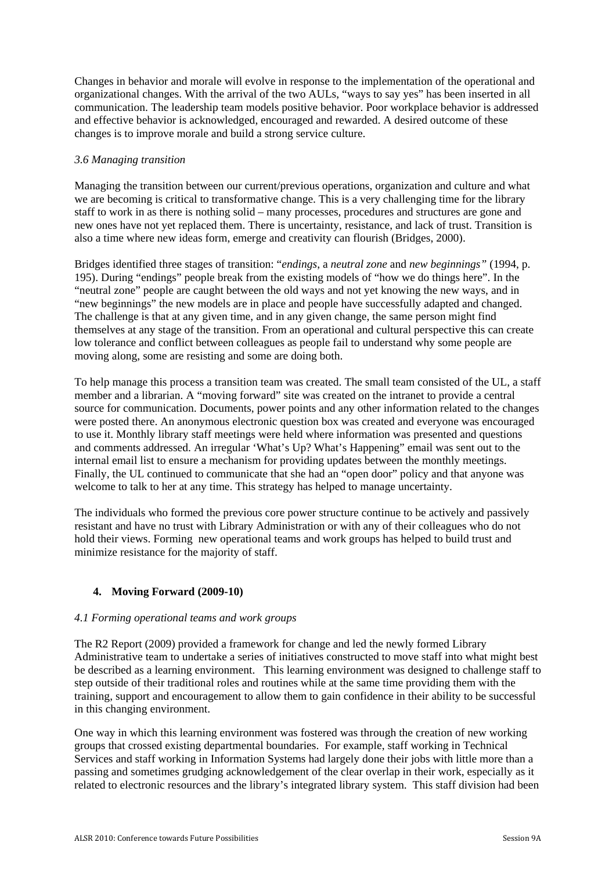Changes in behavior and morale will evolve in response to the implementation of the operational and organizational changes. With the arrival of the two AULs, "ways to say yes" has been inserted in all communication. The leadership team models positive behavior. Poor workplace behavior is addressed and effective behavior is acknowledged, encouraged and rewarded. A desired outcome of these changes is to improve morale and build a strong service culture.

#### *3.6 Managing transition*

Managing the transition between our current/previous operations, organization and culture and what we are becoming is critical to transformative change. This is a very challenging time for the library staff to work in as there is nothing solid – many processes, procedures and structures are gone and new ones have not yet replaced them. There is uncertainty, resistance, and lack of trust. Transition is also a time where new ideas form, emerge and creativity can flourish (Bridges, 2000).

Bridges identified three stages of transition: "*endings*, a *neutral zone* and *new beginnings"* (1994, p. 195). During "endings" people break from the existing models of "how we do things here". In the "neutral zone" people are caught between the old ways and not yet knowing the new ways, and in "new beginnings" the new models are in place and people have successfully adapted and changed. The challenge is that at any given time, and in any given change, the same person might find themselves at any stage of the transition. From an operational and cultural perspective this can create low tolerance and conflict between colleagues as people fail to understand why some people are moving along, some are resisting and some are doing both.

To help manage this process a transition team was created. The small team consisted of the UL, a staff member and a librarian. A "moving forward" site was created on the intranet to provide a central source for communication. Documents, power points and any other information related to the changes were posted there. An anonymous electronic question box was created and everyone was encouraged to use it. Monthly library staff meetings were held where information was presented and questions and comments addressed. An irregular 'What's Up? What's Happening" email was sent out to the internal email list to ensure a mechanism for providing updates between the monthly meetings. Finally, the UL continued to communicate that she had an "open door" policy and that anyone was welcome to talk to her at any time. This strategy has helped to manage uncertainty.

The individuals who formed the previous core power structure continue to be actively and passively resistant and have no trust with Library Administration or with any of their colleagues who do not hold their views. Forming new operational teams and work groups has helped to build trust and minimize resistance for the majority of staff.

#### **4. Moving Forward (2009-10)**

#### *4.1 Forming operational teams and work groups*

The R2 Report (2009) provided a framework for change and led the newly formed Library Administrative team to undertake a series of initiatives constructed to move staff into what might best be described as a learning environment. This learning environment was designed to challenge staff to step outside of their traditional roles and routines while at the same time providing them with the training, support and encouragement to allow them to gain confidence in their ability to be successful in this changing environment.

One way in which this learning environment was fostered was through the creation of new working groups that crossed existing departmental boundaries. For example, staff working in Technical Services and staff working in Information Systems had largely done their jobs with little more than a passing and sometimes grudging acknowledgement of the clear overlap in their work, especially as it related to electronic resources and the library's integrated library system. This staff division had been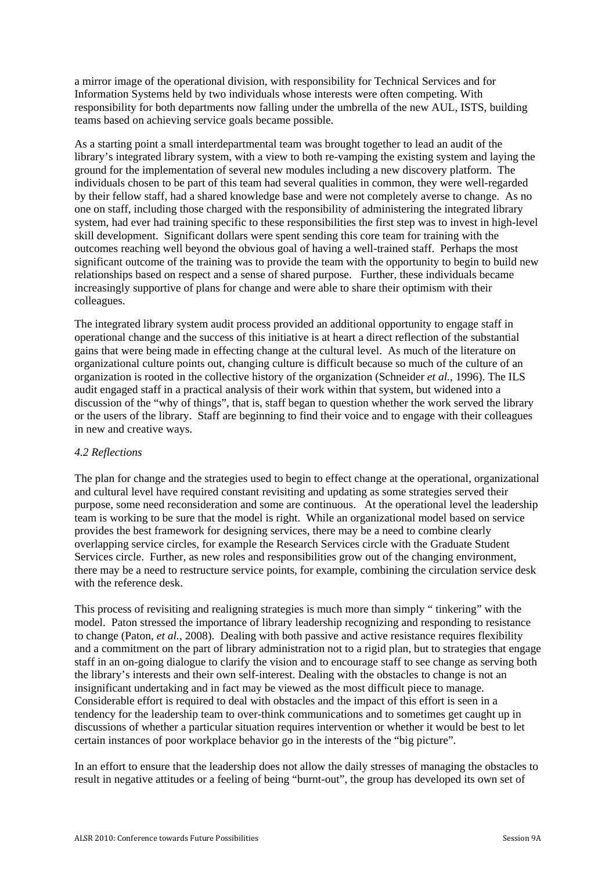a mirror image of the operational division, with responsibility for Technical Services and for Information Systems held by two individuals whose interests were often competing. With responsibility for both departments now falling under the umbrella of the new AUL, ISTS, building teams based on achieving service goals became possible.

As a starting point a small interdepartmental team was brought together to lead an audit of the library's integrated library system, with a view to both re-vamping the existing system and laying the ground for the implementation of several new modules including a new discovery platform. The individuals chosen to be part of this team had several qualities in common, they were well-regarded by their fellow staff, had a shared knowledge base and were not completely averse to change. As no one on staff, including those charged with the responsibility of administering the integrated library system, had ever had training specific to these responsibilities the first step was to invest in high-level skill development. Significant dollars were spent sending this core team for training with the outcomes reaching well beyond the obvious goal of having a well-trained staff. Perhaps the most significant outcome of the training was to provide the team with the opportunity to begin to build new relationships based on respect and a sense of shared purpose. Further, these individuals became increasingly supportive of plans for change and were able to share their optimism with their colleagues.

The integrated library system audit process provided an additional opportunity to engage staff in operational change and the success of this initiative is at heart a direct reflection of the substantial gains that were being made in effecting change at the cultural level. As much of the literature on organizational culture points out, changing culture is difficult because so much of the culture of an organization is rooted in the collective history of the organization (Schneider *et al.*, 1996). The ILS audit engaged staff in a practical analysis of their work within that system, but widened into a discussion of the "why of things", that is, staff began to question whether the work served the library or the users of the library. Staff are beginning to find their voice and to engage with their colleagues in new and creative ways.

#### *4.2 Reflections*

The plan for change and the strategies used to begin to effect change at the operational, organizational and cultural level have required constant revisiting and updating as some strategies served their purpose, some need reconsideration and some are continuous. At the operational level the leadership team is working to be sure that the model is right. While an organizational model based on service provides the best framework for designing services, there may be a need to combine clearly overlapping service circles, for example the Research Services circle with the Graduate Student Services circle. Further, as new roles and responsibilities grow out of the changing environment, there may be a need to restructure service points, for example, combining the circulation service desk with the reference desk.

This process of revisiting and realigning strategies is much more than simply " tinkering" with the model. Paton stressed the importance of library leadership recognizing and responding to resistance to change (Paton, *et al.*, 2008). Dealing with both passive and active resistance requires flexibility and a commitment on the part of library administration not to a rigid plan, but to strategies that engage staff in an on-going dialogue to clarify the vision and to encourage staff to see change as serving both the library's interests and their own self-interest. Dealing with the obstacles to change is not an insignificant undertaking and in fact may be viewed as the most difficult piece to manage. Considerable effort is required to deal with obstacles and the impact of this effort is seen in a tendency for the leadership team to over-think communications and to sometimes get caught up in discussions of whether a particular situation requires intervention or whether it would be best to let certain instances of poor workplace behavior go in the interests of the "big picture".

In an effort to ensure that the leadership does not allow the daily stresses of managing the obstacles to result in negative attitudes or a feeling of being "burnt-out", the group has developed its own set of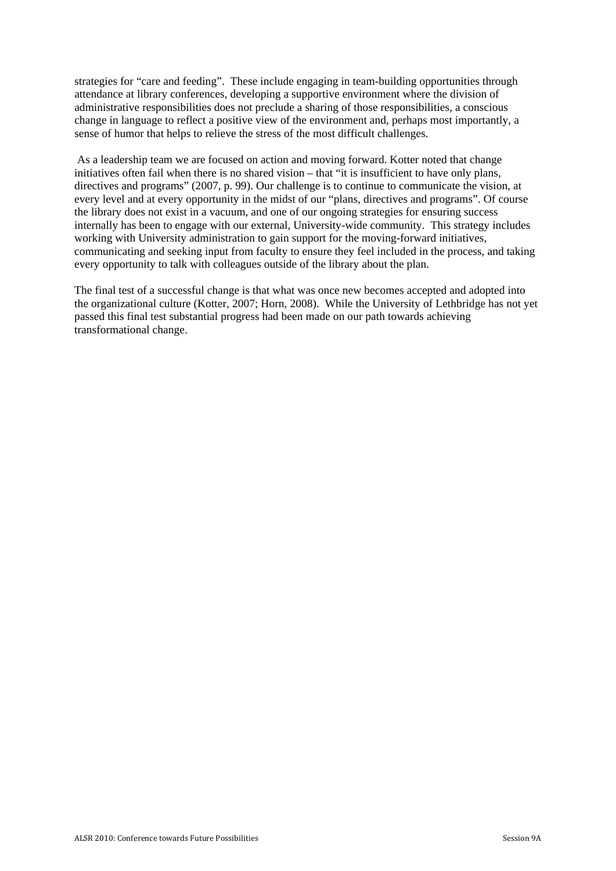strategies for "care and feeding". These include engaging in team-building opportunities through attendance at library conferences, developing a supportive environment where the division of administrative responsibilities does not preclude a sharing of those responsibilities, a conscious change in language to reflect a positive view of the environment and, perhaps most importantly, a sense of humor that helps to relieve the stress of the most difficult challenges.

 As a leadership team we are focused on action and moving forward. Kotter noted that change initiatives often fail when there is no shared vision – that "it is insufficient to have only plans, directives and programs" (2007, p. 99). Our challenge is to continue to communicate the vision, at every level and at every opportunity in the midst of our "plans, directives and programs". Of course the library does not exist in a vacuum, and one of our ongoing strategies for ensuring success internally has been to engage with our external, University-wide community. This strategy includes working with University administration to gain support for the moving-forward initiatives, communicating and seeking input from faculty to ensure they feel included in the process, and taking every opportunity to talk with colleagues outside of the library about the plan.

The final test of a successful change is that what was once new becomes accepted and adopted into the organizational culture (Kotter, 2007; Horn, 2008). While the University of Lethbridge has not yet passed this final test substantial progress had been made on our path towards achieving transformational change.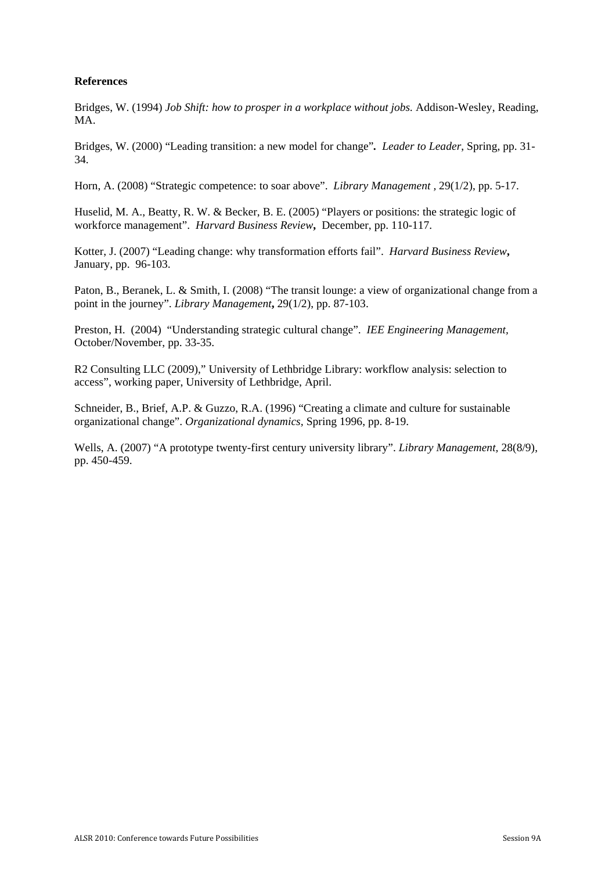# **References**

Bridges, W. (1994) *Job Shift: how to prosper in a workplace without jobs.* Addison-Wesley, Reading, M<sub>A</sub>

Bridges, W. (2000) "Leading transition: a new model for change"*. Leader to Leader*, Spring, pp. 31- 34.

Horn, A. (2008) "Strategic competence: to soar above". *Library Management ,* 29(1/2), pp. 5-17.

Huselid, M. A., Beatty, R. W. & Becker, B. E. (2005) "Players or positions: the strategic logic of workforce management". *Harvard Business Review***,** December, pp. 110-117.

Kotter, J. (2007) "Leading change: why transformation efforts fail". *Harvard Business Review***,**  January, pp. 96-103.

Paton, B., Beranek, L. & Smith, I. (2008) "The transit lounge: a view of organizational change from a point in the journey". *Library Management***,** 29(1/2), pp. 87-103.

Preston, H. (2004) "Understanding strategic cultural change". *IEE Engineering Management,* October/November, pp. 33-35.

R2 Consulting LLC (2009)," University of Lethbridge Library: workflow analysis: selection to access", working paper, University of Lethbridge, April.

Schneider, B., Brief, A.P. & Guzzo, R.A. (1996) "Creating a climate and culture for sustainable organizational change". *Organizational dynamics,* Spring 1996, pp. 8-19.

Wells, A. (2007) "A prototype twenty-first century university library". *Library Management,* 28(8/9), pp. 450-459.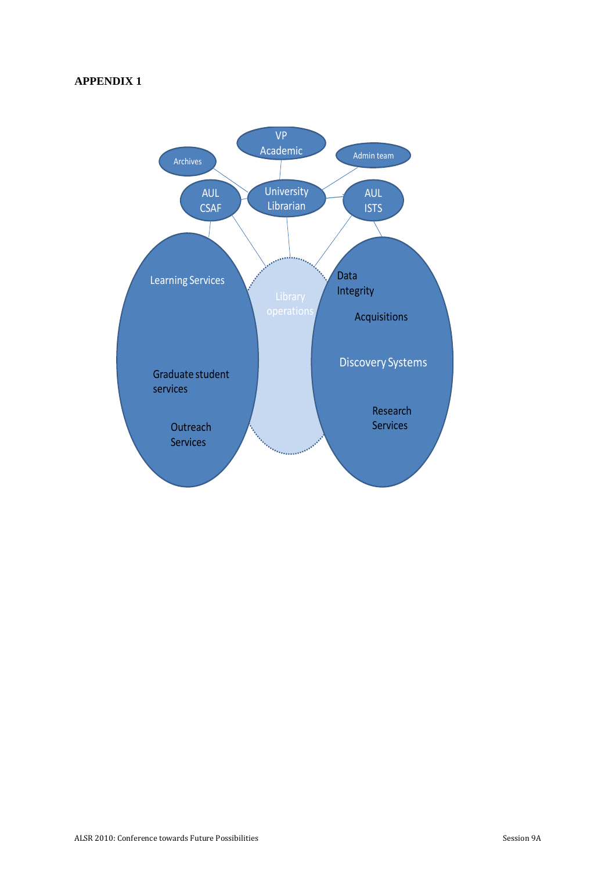# **APPENDIX 1**